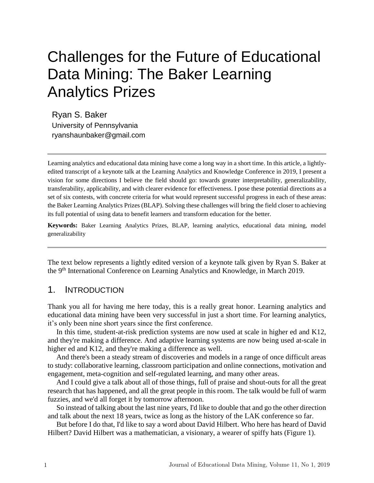# Challenges for the Future of Educational Data Mining: The Baker Learning Analytics Prizes

Ryan S. Baker University of Pennsylvania ryanshaunbaker@gmail.com

Learning analytics and educational data mining have come a long way in a short time. In this article, a lightlyedited transcript of a keynote talk at the Learning Analytics and Knowledge Conference in 2019, I present a vision for some directions I believe the field should go: towards greater interpretability, generalizability, transferability, applicability, and with clearer evidence for effectiveness. I pose these potential directions as a set of six contests, with concrete criteria for what would represent successful progress in each of these areas: the Baker Learning Analytics Prizes (BLAP). Solving these challenges will bring the field closer to achieving its full potential of using data to benefit learners and transform education for the better.

**Keywords:** Baker Learning Analytics Prizes, BLAP, learning analytics, educational data mining, model generalizability

The text below represents a lightly edited version of a keynote talk given by Ryan S. Baker at the 9th International Conference on Learning Analytics and Knowledge, in March 2019.

## 1. INTRODUCTION

Thank you all for having me here today, this is a really great honor. Learning analytics and educational data mining have been very successful in just a short time. For learning analytics, it's only been nine short years since the first conference.

In this time, student-at-risk prediction systems are now used at scale in higher ed and K12, and they're making a difference. And adaptive learning systems are now being used at-scale in higher ed and K12, and they're making a difference as well.

And there's been a steady stream of discoveries and models in a range of once difficult areas to study: collaborative learning, classroom participation and online connections, motivation and engagement, meta-cognition and self-regulated learning, and many other areas.

And I could give a talk about all of those things, full of praise and shout-outs for all the great research that has happened, and all the great people in this room. The talk would be full of warm fuzzies, and we'd all forget it by tomorrow afternoon.

So instead of talking about the last nine years, I'd like to double that and go the other direction and talk about the next 18 years, twice as long as the history of the LAK conference so far.

But before I do that, I'd like to say a word about David Hilbert. Who here has heard of David Hilbert? David Hilbert was a mathematician, a visionary, a wearer of spiffy hats (Figure 1).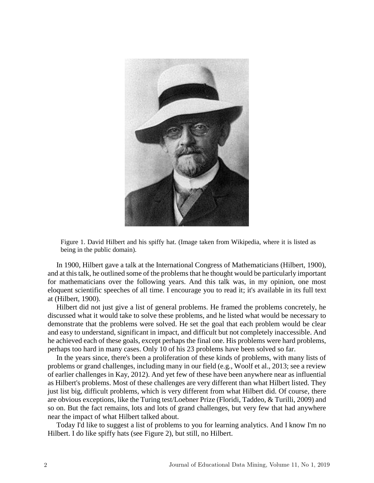

Figure 1. David Hilbert and his spiffy hat. (Image taken from Wikipedia, where it is listed as being in the public domain).

In 1900, Hilbert gave a talk at the International Congress of Mathematicians (Hilbert, 1900), and at this talk, he outlined some of the problems that he thought would be particularly important for mathematicians over the following years. And this talk was, in my opinion, one most eloquent scientific speeches of all time. I encourage you to read it; it's available in its full text at (Hilbert, 1900).

Hilbert did not just give a list of general problems. He framed the problems concretely, he discussed what it would take to solve these problems, and he listed what would be necessary to demonstrate that the problems were solved. He set the goal that each problem would be clear and easy to understand, significant in impact, and difficult but not completely inaccessible. And he achieved each of these goals, except perhaps the final one. His problems were hard problems, perhaps too hard in many cases. Only 10 of his 23 problems have been solved so far.

In the years since, there's been a proliferation of these kinds of problems, with many lists of problems or grand challenges, including many in our field (e.g., Woolf et al., 2013; see a review of earlier challenges in Kay, 2012). And yet few of these have been anywhere near as influential as Hilbert's problems. Most of these challenges are very different than what Hilbert listed. They just list big, difficult problems, which is very different from what Hilbert did. Of course, there are obvious exceptions, like the Turing test/Loebner Prize (Floridi, Taddeo, & Turilli, 2009) and so on. But the fact remains, lots and lots of grand challenges, but very few that had anywhere near the impact of what Hilbert talked about.

Today I'd like to suggest a list of problems to you for learning analytics. And I know I'm no Hilbert. I do like spiffy hats (see Figure 2), but still, no Hilbert.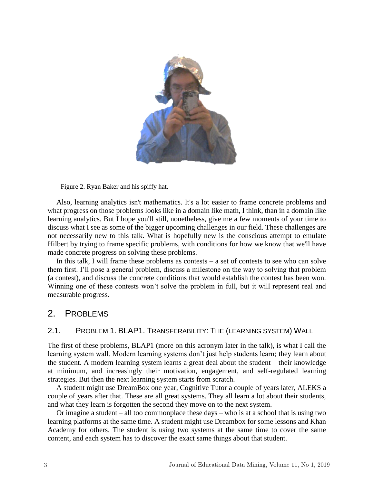

Figure 2. Ryan Baker and his spiffy hat.

Also, learning analytics isn't mathematics. It's a lot easier to frame concrete problems and what progress on those problems looks like in a domain like math, I think, than in a domain like learning analytics. But I hope you'll still, nonetheless, give me a few moments of your time to discuss what I see as some of the bigger upcoming challenges in our field. These challenges are not necessarily new to this talk. What is hopefully new is the conscious attempt to emulate Hilbert by trying to frame specific problems, with conditions for how we know that we'll have made concrete progress on solving these problems.

In this talk, I will frame these problems as contests  $-$  a set of contests to see who can solve them first. I'll pose a general problem, discuss a milestone on the way to solving that problem (a contest), and discuss the concrete conditions that would establish the contest has been won. Winning one of these contests won't solve the problem in full, but it will represent real and measurable progress.

## 2. PROBLEMS

#### 2.1. PROBLEM 1. BLAP1. TRANSFERABILITY: THE (LEARNING SYSTEM) WALL

The first of these problems, BLAP1 (more on this acronym later in the talk), is what I call the learning system wall. Modern learning systems don't just help students learn; they learn about the student. A modern learning system learns a great deal about the student – their knowledge at minimum, and increasingly their motivation, engagement, and self-regulated learning strategies. But then the next learning system starts from scratch.

A student might use DreamBox one year, Cognitive Tutor a couple of years later, ALEKS a couple of years after that. These are all great systems. They all learn a lot about their students, and what they learn is forgotten the second they move on to the next system.

Or imagine a student – all too commonplace these days – who is at a school that is using two learning platforms at the same time. A student might use Dreambox for some lessons and Khan Academy for others. The student is using two systems at the same time to cover the same content, and each system has to discover the exact same things about that student.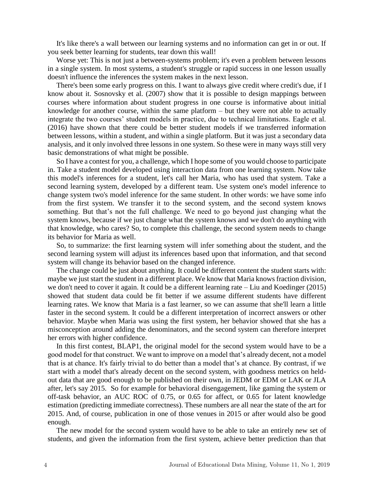It's like there's a wall between our learning systems and no information can get in or out. If you seek better learning for students, tear down this wall!

Worse yet: This is not just a between-systems problem; it's even a problem between lessons in a single system. In most systems, a student's struggle or rapid success in one lesson usually doesn't influence the inferences the system makes in the next lesson.

There's been some early progress on this. I want to always give credit where credit's due, if I know about it. Sosnovsky et al. (2007) show that it is possible to design mappings between courses where information about student progress in one course is informative about initial knowledge for another course, within the same platform – but they were not able to actually integrate the two courses' student models in practice, due to technical limitations. Eagle et al. (2016) have shown that there could be better student models if we transferred information between lessons, within a student, and within a single platform. But it was just a secondary data analysis, and it only involved three lessons in one system. So these were in many ways still very basic demonstrations of what might be possible.

So I have a contest for you, a challenge, which I hope some of you would choose to participate in. Take a student model developed using interaction data from one learning system. Now take this model's inferences for a student, let's call her Maria, who has used that system. Take a second learning system, developed by a different team. Use system one's model inference to change system two's model inference for the same student. In other words: we have some info from the first system. We transfer it to the second system, and the second system knows something. But that's not the full challenge. We need to go beyond just changing what the system knows, because if we just change what the system knows and we don't do anything with that knowledge, who cares? So, to complete this challenge, the second system needs to change its behavior for Maria as well.

So, to summarize: the first learning system will infer something about the student, and the second learning system will adjust its inferences based upon that information, and that second system will change its behavior based on the changed inference.

The change could be just about anything. It could be different content the student starts with: maybe we just start the student in a different place. We know that Maria knows fraction division, we don't need to cover it again. It could be a different learning rate – Liu and Koedinger (2015) showed that student data could be fit better if we assume different students have different learning rates. We know that Maria is a fast learner, so we can assume that she'll learn a little faster in the second system. It could be a different interpretation of incorrect answers or other behavior. Maybe when Maria was using the first system, her behavior showed that she has a misconception around adding the denominators, and the second system can therefore interpret her errors with higher confidence.

In this first contest, BLAP1, the original model for the second system would have to be a good model for that construct. We want to improve on a model that's already decent, not a model that is at chance. It's fairly trivial to do better than a model that's at chance. By contrast, if we start with a model that's already decent on the second system, with goodness metrics on heldout data that are good enough to be published on their own, in JEDM or EDM or LAK or JLA after, let's say 2015. So for example for behavioral disengagement, like gaming the system or off-task behavior, an AUC ROC of 0.75, or 0.65 for affect, or 0.65 for latent knowledge estimation (predicting immediate correctness). These numbers are all near the state of the art for 2015. And, of course, publication in one of those venues in 2015 or after would also be good enough.

The new model for the second system would have to be able to take an entirely new set of students, and given the information from the first system, achieve better prediction than that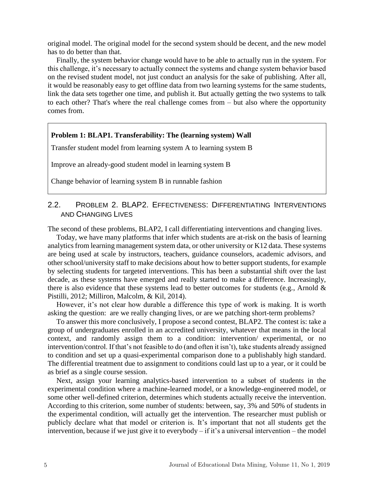original model. The original model for the second system should be decent, and the new model has to do better than that.

Finally, the system behavior change would have to be able to actually run in the system. For this challenge, it's necessary to actually connect the systems and change system behavior based on the revised student model, not just conduct an analysis for the sake of publishing. After all, it would be reasonably easy to get offline data from two learning systems for the same students, link the data sets together one time, and publish it. But actually getting the two systems to talk to each other? That's where the real challenge comes from – but also where the opportunity comes from.

#### **Problem 1: BLAP1. Transferability: The (learning system) Wall**

Transfer student model from learning system A to learning system B

Improve an already-good student model in learning system B

Change behavior of learning system B in runnable fashion

## 2.2. PROBLEM 2. BLAP2. EFFECTIVENESS: DIFFERENTIATING INTERVENTIONS AND CHANGING LIVES

The second of these problems, BLAP2, I call differentiating interventions and changing lives.

Today, we have many platforms that infer which students are at-risk on the basis of learning analytics from learning management system data, or other university or K12 data. These systems are being used at scale by instructors, teachers, guidance counselors, academic advisors, and other school/university staff to make decisions about how to better support students, for example by selecting students for targeted interventions. This has been a substantial shift over the last decade, as these systems have emerged and really started to make a difference. Increasingly, there is also evidence that these systems lead to better outcomes for students (e.g., Arnold & Pistilli, 2012; Milliron, Malcolm, & Kil, 2014).

However, it's not clear how durable a difference this type of work is making. It is worth asking the question: are we really changing lives, or are we patching short-term problems?

To answer this more conclusively, I propose a second contest, BLAP2. The contest is: take a group of undergraduates enrolled in an accredited university, whatever that means in the local context, and randomly assign them to a condition: intervention/ experimental, or no intervention/control. If that's not feasible to do (and often it isn't), take students already assigned to condition and set up a quasi-experimental comparison done to a publishably high standard. The differential treatment due to assignment to conditions could last up to a year, or it could be as brief as a single course session.

Next, assign your learning analytics-based intervention to a subset of students in the experimental condition where a machine-learned model, or a knowledge-engineered model, or some other well-defined criterion, determines which students actually receive the intervention. According to this criterion, some number of students: between, say, 3% and 50% of students in the experimental condition, will actually get the intervention. The researcher must publish or publicly declare what that model or criterion is. It's important that not all students get the intervention, because if we just give it to everybody – if it's a universal intervention – the model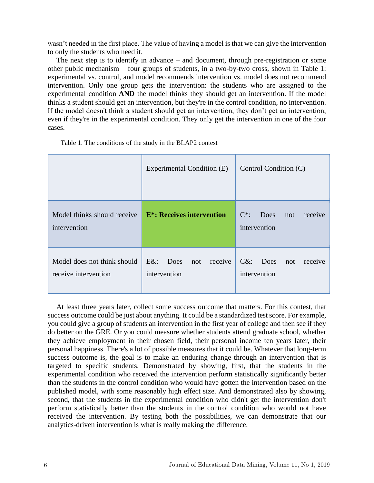wasn't needed in the first place. The value of having a model is that we can give the intervention to only the students who need it.

The next step is to identify in advance – and document, through pre-registration or some other public mechanism – four groups of students, in a two-by-two cross, shown in Table 1: experimental vs. control, and model recommends intervention vs. model does not recommend intervention. Only one group gets the intervention: the students who are assigned to the experimental condition **AND** the model thinks they should get an intervention. If the model thinks a student should get an intervention, but they're in the control condition, no intervention. If the model doesn't think a student should get an intervention, they don't get an intervention, even if they're in the experimental condition. They only get the intervention in one of the four cases.

|                                                     | Experimental Condition (E)                               | Control Condition (C)                                    |
|-----------------------------------------------------|----------------------------------------------------------|----------------------------------------------------------|
| Model thinks should receive<br>intervention         | <b>E*:</b> Receives intervention                         | $C^*$ :<br><b>Does</b><br>not<br>receive<br>intervention |
| Model does not think should<br>receive intervention | $E&x$ :<br><b>Does</b><br>receive<br>not<br>intervention | $C&$ :<br>Does not<br>receive<br>intervention            |

Table 1. The conditions of the study in the BLAP2 contest

At least three years later, collect some success outcome that matters. For this contest, that success outcome could be just about anything. It could be a standardized test score. For example, you could give a group of students an intervention in the first year of college and then see if they do better on the GRE. Or you could measure whether students attend graduate school, whether they achieve employment in their chosen field, their personal income ten years later, their personal happiness. There's a lot of possible measures that it could be. Whatever that long-term success outcome is, the goal is to make an enduring change through an intervention that is targeted to specific students. Demonstrated by showing, first, that the students in the experimental condition who received the intervention perform statistically significantly better than the students in the control condition who would have gotten the intervention based on the published model, with some reasonably high effect size. And demonstrated also by showing, second, that the students in the experimental condition who didn't get the intervention don't perform statistically better than the students in the control condition who would not have received the intervention. By testing both the possibilities, we can demonstrate that our analytics-driven intervention is what is really making the difference.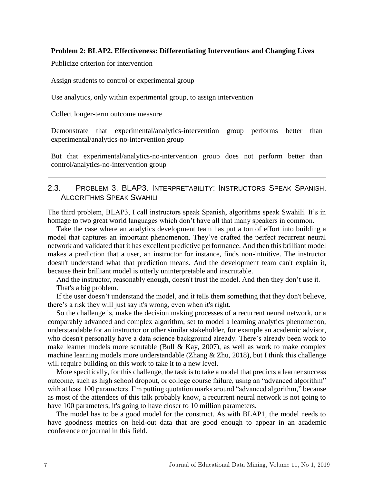#### **Problem 2: BLAP2. Effectiveness: Differentiating Interventions and Changing Lives**

Publicize criterion for intervention

Assign students to control or experimental group

Use analytics, only within experimental group, to assign intervention

Collect longer-term outcome measure

Demonstrate that experimental/analytics-intervention group performs better than experimental/analytics-no-intervention group

But that experimental/analytics-no-intervention group does not perform better than control/analytics-no-intervention group

## 2.3. PROBLEM 3. BLAP3. INTERPRETABILITY: INSTRUCTORS SPEAK SPANISH, ALGORITHMS SPEAK SWAHILI

The third problem, BLAP3, I call instructors speak Spanish, algorithms speak Swahili. It's in homage to two great world languages which don't have all that many speakers in common.

Take the case where an analytics development team has put a ton of effort into building a model that captures an important phenomenon. They've crafted the perfect recurrent neural network and validated that it has excellent predictive performance. And then this brilliant model makes a prediction that a user, an instructor for instance, finds non-intuitive. The instructor doesn't understand what that prediction means. And the development team can't explain it, because their brilliant model is utterly uninterpretable and inscrutable.

And the instructor, reasonably enough, doesn't trust the model. And then they don't use it. That's a big problem.

If the user doesn't understand the model, and it tells them something that they don't believe, there's a risk they will just say it's wrong, even when it's right.

So the challenge is, make the decision making processes of a recurrent neural network, or a comparably advanced and complex algorithm, set to model a learning analytics phenomenon, understandable for an instructor or other similar stakeholder, for example an academic advisor, who doesn't personally have a data science background already. There's already been work to make learner models more scrutable (Bull & Kay, 2007), as well as work to make complex machine learning models more understandable (Zhang & Zhu, 2018), but I think this challenge will require building on this work to take it to a new level.

More specifically, for this challenge, the task is to take a model that predicts a learner success outcome, such as high school dropout, or college course failure, using an "advanced algorithm" with at least 100 parameters. I'm putting quotation marks around "advanced algorithm," because as most of the attendees of this talk probably know, a recurrent neural network is not going to have 100 parameters, it's going to have closer to 10 million parameters.

The model has to be a good model for the construct. As with BLAP1, the model needs to have goodness metrics on held-out data that are good enough to appear in an academic conference or journal in this field.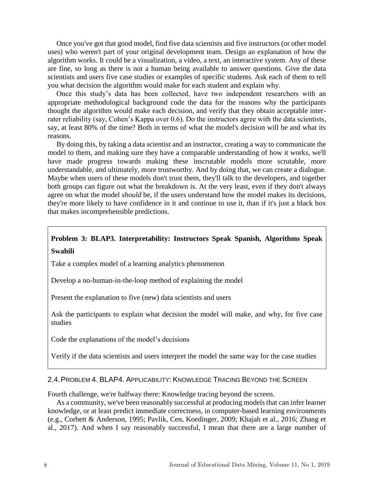Once you've got that good model, find five data scientists and five instructors (or other model uses) who weren't part of your original development team. Design an explanation of how the algorithm works. It could be a visualization, a video, a text, an interactive system. Any of these are fine, so long as there is not a human being available to answer questions. Give the data scientists and users five case studies or examples of specific students. Ask each of them to tell you what decision the algorithm would make for each student and explain why.

Once this study's data has been collected, have two independent researchers with an appropriate methodological background code the data for the reasons why the participants thought the algorithm would make each decision, and verify that they obtain acceptable interrater reliability (say, Cohen's Kappa over 0.6). Do the instructors agree with the data scientists, say, at least 80% of the time? Both in terms of what the model's decision will be and what its reasons.

By doing this, by taking a data scientist and an instructor, creating a way to communicate the model to them, and making sure they have a comparable understanding of how it works, we'll have made progress towards making these inscrutable models more scrutable, more understandable, and ultimately, more trustworthy. And by doing that, we can create a dialogue. Maybe when users of these models don't trust them, they'll talk to the developers, and together both groups can figure out what the breakdown is. At the very least, even if they don't always agree on what the model *should* be, if the users understand how the model makes its decisions, they're more likely to have confidence in it and continue to use it, than if it's just a black box that makes incomprehensible predictions.

## **Problem 3: BLAP3. Interpretability: Instructors Speak Spanish, Algorithms Speak Swahili**

Take a complex model of a learning analytics phenomenon

Develop a no-human-in-the-loop method of explaining the model

Present the explanation to five (new) data scientists and users

Ask the participants to explain what decision the model will make, and why, for five case studies

Code the explanations of the model's decisions

Verify if the data scientists and users interpret the model the same way for the case studies

#### 2.4.PROBLEM 4. BLAP4. APPLICABILITY: KNOWLEDGE TRACING BEYOND THE SCREEN

Fourth challenge, we're halfway there: Knowledge tracing beyond the screen.

As a community, we've been reasonably successful at producing models that can infer learner knowledge, or at least predict immediate correctness, in computer-based learning environments (e.g., Corbett & Anderson, 1995; Pavlik, Cen, Koedinger, 2009; Khajah et al., 2016; Zhang et al., 2017). And when I say reasonably successful, I mean that there are a large number of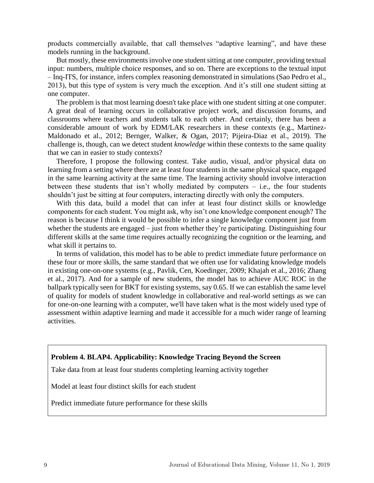products commercially available, that call themselves "adaptive learning", and have these models running in the background.

But mostly, these environments involve one student sitting at one computer, providing textual input: numbers, multiple choice responses, and so on. There are exceptions to the textual input – Inq-ITS, for instance, infers complex reasoning demonstrated in simulations (Sao Pedro et al., 2013), but this type of system is very much the exception. And it's still one student sitting at one computer.

The problem is that most learning doesn't take place with one student sitting at one computer. A great deal of learning occurs in collaborative project work, and discussion forums, and classrooms where teachers and students talk to each other. And certainly, there has been a considerable amount of work by EDM/LAK researchers in these contexts (e.g., Martinez-Maldonado et al., 2012; Bernger, Walker, & Ogan, 2017; Pijeira-Diaz et al., 2019). The challenge is, though, can we detect student *knowledge* within these contexts to the same quality that we can in easier to study contexts?

Therefore, I propose the following contest. Take audio, visual, and/or physical data on learning from a setting where there are at least four students in the same physical space, engaged in the same learning activity at the same time. The learning activity should involve interaction between these students that isn't wholly mediated by computers  $-$  i.e., the four students shouldn't just be sitting at four computers, interacting directly with only the computers.

With this data, build a model that can infer at least four distinct skills or knowledge components for each student. You might ask, why isn't one knowledge component enough? The reason is because I think it would be possible to infer a single knowledge component just from whether the students are engaged – just from whether they're participating. Distinguishing four different skills at the same time requires actually recognizing the cognition or the learning, and what skill it pertains to.

In terms of validation, this model has to be able to predict immediate future performance on these four or more skills, the same standard that we often use for validating knowledge models in existing one-on-one systems (e.g., Pavlik, Cen, Koedinger, 2009; Khajah et al., 2016; Zhang et al., 2017). And for a sample of new students, the model has to achieve AUC ROC in the ballpark typically seen for BKT for existing systems, say 0.65. If we can establish the same level of quality for models of student knowledge in collaborative and real-world settings as we can for one-on-one learning with a computer, we'll have taken what is the most widely used type of assessment within adaptive learning and made it accessible for a much wider range of learning activities.

#### **Problem 4. BLAP4. Applicability: Knowledge Tracing Beyond the Screen**

Take data from at least four students completing learning activity together

Model at least four distinct skills for each student

Predict immediate future performance for these skills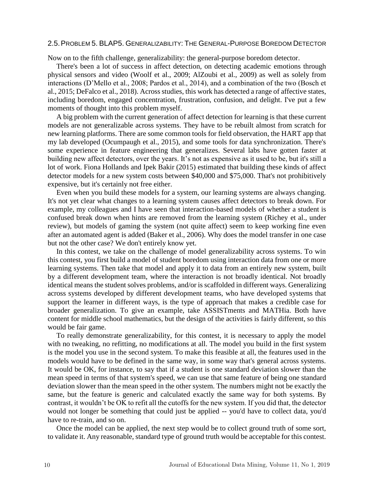#### 2.5.PROBLEM 5. BLAP5. GENERALIZABILITY: THE GENERAL-PURPOSE BOREDOM DETECTOR

Now on to the fifth challenge, generalizability: the general-purpose boredom detector.

There's been a lot of success in affect detection, on detecting academic emotions through physical sensors and video (Woolf et al., 2009; AlZoubi et al., 2009) as well as solely from interactions (D'Mello et al., 2008; Pardos et al., 2014), and a combination of the two (Bosch et al., 2015; DeFalco et al., 2018). Across studies, this work has detected a range of affective states, including boredom, engaged concentration, frustration, confusion, and delight. I've put a few moments of thought into this problem myself.

A big problem with the current generation of affect detection for learning is that these current models are not generalizable across systems. They have to be rebuilt almost from scratch for new learning platforms. There are some common tools for field observation, the HART app that my lab developed (Ocumpaugh et al., 2015), and some tools for data synchronization. There's some experience in feature engineering that generalizes. Several labs have gotten faster at building new affect detectors, over the years. It's not as expensive as it used to be, but it's still a lot of work. Fiona Hollands and Ipek Bakir (2015) estimated that building these kinds of affect detector models for a new system costs between \$40,000 and \$75,000. That's not prohibitively expensive, but it's certainly not free either.

Even when you build these models for a system, our learning systems are always changing. It's not yet clear what changes to a learning system causes affect detectors to break down. For example, my colleagues and I have seen that interaction-based models of whether a student is confused break down when hints are removed from the learning system (Richey et al., under review), but models of gaming the system (not quite affect) seem to keep working fine even after an automated agent is added (Baker et al., 2006). Why does the model transfer in one case but not the other case? We don't entirely know yet.

In this contest, we take on the challenge of model generalizability across systems. To win this contest, you first build a model of student boredom using interaction data from one or more learning systems. Then take that model and apply it to data from an entirely new system, built by a different development team, where the interaction is not broadly identical. Not broadly identical means the student solves problems, and/or is scaffolded in different ways. Generalizing across systems developed by different development teams, who have developed systems that support the learner in different ways, is the type of approach that makes a credible case for broader generalization. To give an example, take ASSISTments and MATHia. Both have content for middle school mathematics, but the design of the activities is fairly different, so this would be fair game.

To really demonstrate generalizability, for this contest, it is necessary to apply the model with no tweaking, no refitting, no modifications at all. The model you build in the first system is the model you use in the second system. To make this feasible at all, the features used in the models would have to be defined in the same way, in some way that's general across systems. It would be OK, for instance, to say that if a student is one standard deviation slower than the mean speed in terms of that system's speed, we can use that same feature of being one standard deviation slower than the mean speed in the other system. The numbers might not be exactly the same, but the feature is generic and calculated exactly the same way for both systems. By contrast, it wouldn't be OK to refit all the cutoffs for the new system. If you did that, the detector would not longer be something that could just be applied -- you'd have to collect data, you'd have to re-train, and so on.

Once the model can be applied, the next step would be to collect ground truth of some sort, to validate it. Any reasonable, standard type of ground truth would be acceptable for this contest.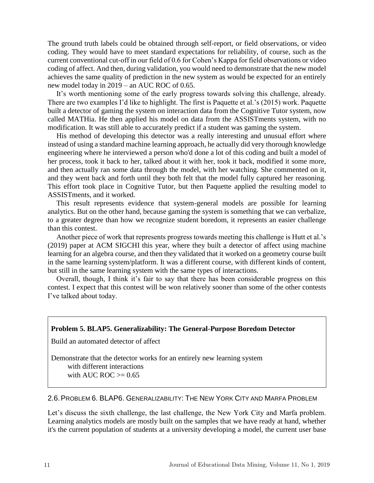The ground truth labels could be obtained through self-report, or field observations, or video coding. They would have to meet standard expectations for reliability, of course, such as the current conventional cut-off in our field of 0.6 for Cohen's Kappa for field observations or video coding of affect. And then, during validation, you would need to demonstrate that the new model achieves the same quality of prediction in the new system as would be expected for an entirely new model today in 2019 – an AUC ROC of 0.65.

It's worth mentioning some of the early progress towards solving this challenge, already. There are two examples I'd like to highlight. The first is Paquette et al.'s (2015) work. Paquette built a detector of gaming the system on interaction data from the Cognitive Tutor system, now called MATHia. He then applied his model on data from the ASSISTments system, with no modification. It was still able to accurately predict if a student was gaming the system.

His method of developing this detector was a really interesting and unusual effort where instead of using a standard machine learning approach, he actually did very thorough knowledge engineering where he interviewed a person who'd done a lot of this coding and built a model of her process, took it back to her, talked about it with her, took it back, modified it some more, and then actually ran some data through the model, with her watching. She commented on it, and they went back and forth until they both felt that the model fully captured her reasoning. This effort took place in Cognitive Tutor, but then Paquette applied the resulting model to ASSISTments, and it worked.

This result represents evidence that system-general models are possible for learning analytics. But on the other hand, because gaming the system is something that we can verbalize, to a greater degree than how we recognize student boredom, it represents an easier challenge than this contest.

Another piece of work that represents progress towards meeting this challenge is Hutt et al.'s (2019) paper at ACM SIGCHI this year, where they built a detector of affect using machine learning for an algebra course, and then they validated that it worked on a geometry course built in the same learning system/platform. It was a different course, with different kinds of content, but still in the same learning system with the same types of interactions.

Overall, though, I think it's fair to say that there has been considerable progress on this contest. I expect that this contest will be won relatively sooner than some of the other contests I've talked about today.

## **Problem 5. BLAP5. Generalizability: The General-Purpose Boredom Detector**

Build an automated detector of affect

Demonstrate that the detector works for an entirely new learning system

 with different interactions with AUC ROC  $\geq$  0.65

2.6.PROBLEM 6. BLAP6. GENERALIZABILITY: THE NEW YORK CITY AND MARFA PROBLEM

Let's discuss the sixth challenge, the last challenge, the New York City and Marfa problem. Learning analytics models are mostly built on the samples that we have ready at hand, whether it's the current population of students at a university developing a model, the current user base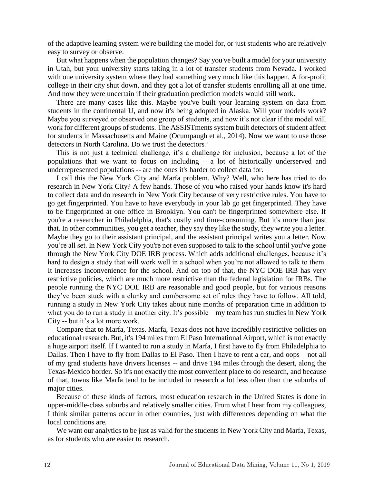of the adaptive learning system we're building the model for, or just students who are relatively easy to survey or observe.

But what happens when the population changes? Say you've built a model for your university in Utah, but your university starts taking in a lot of transfer students from Nevada. I worked with one university system where they had something very much like this happen. A for-profit college in their city shut down, and they got a lot of transfer students enrolling all at one time. And now they were uncertain if their graduation prediction models would still work.

There are many cases like this. Maybe you've built your learning system on data from students in the continental U, and now it's being adopted in Alaska. Will your models work? Maybe you surveyed or observed one group of students, and now it's not clear if the model will work for different groups of students. The ASSISTments system built detectors of student affect for students in Massachusetts and Maine (Ocumpaugh et al., 2014). Now we want to use those detectors in North Carolina. Do we trust the detectors?

This is not just a technical challenge, it's a challenge for inclusion, because a lot of the populations that we want to focus on including – a lot of historically underserved and underrepresented populations -- are the ones it's harder to collect data for.

I call this the New York City and Marfa problem. Why? Well, who here has tried to do research in New York City? A few hands. Those of you who raised your hands know it's hard to collect data and do research in New York City because of very restrictive rules. You have to go get fingerprinted. You have to have everybody in your lab go get fingerprinted. They have to be fingerprinted at one office in Brooklyn. You can't be fingerprinted somewhere else. If you're a researcher in Philadelphia, that's costly and time-consuming. But it's more than just that. In other communities, you get a teacher, they say they like the study, they write you a letter. Maybe they go to their assistant principal, and the assistant principal writes you a letter. Now you're all set. In New York City you're not even supposed to talk to the school until you've gone through the New York City DOE IRB process. Which adds additional challenges, because it's hard to design a study that will work well in a school when you're not allowed to talk to them. It increases inconvenience for the school. And on top of that, the NYC DOE IRB has very restrictive policies, which are much more restrictive than the federal legislation for IRBs. The people running the NYC DOE IRB are reasonable and good people, but for various reasons they've been stuck with a clunky and cumbersome set of rules they have to follow. All told, running a study in New York City takes about nine months of preparation time in addition to what you do to run a study in another city. It's possible – my team has run studies in New York City -- but it's a lot more work.

Compare that to Marfa, Texas. Marfa, Texas does not have incredibly restrictive policies on educational research. But, it's 194 miles from El Paso International Airport, which is not exactly a huge airport itself. If I wanted to run a study in Marfa, I first have to fly from Philadelphia to Dallas. Then I have to fly from Dallas to El Paso. Then I have to rent a car, and oops – not all of my grad students have drivers licenses -- and drive 194 miles through the desert, along the Texas-Mexico border. So it's not exactly the most convenient place to do research, and because of that, towns like Marfa tend to be included in research a lot less often than the suburbs of major cities.

Because of these kinds of factors, most education research in the United States is done in upper-middle-class suburbs and relatively smaller cities. From what I hear from my colleagues, I think similar patterns occur in other countries, just with differences depending on what the local conditions are.

We want our analytics to be just as valid for the students in New York City and Marfa, Texas, as for students who are easier to research.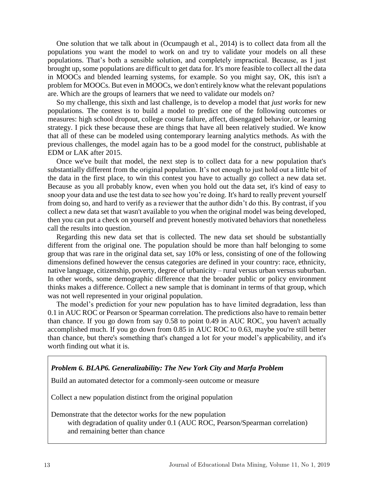One solution that we talk about in (Ocumpaugh et al., 2014) is to collect data from all the populations you want the model to work on and try to validate your models on all these populations. That's both a sensible solution, and completely impractical. Because, as I just brought up, some populations are difficult to get data for. It's more feasible to collect all the data in MOOCs and blended learning systems, for example. So you might say, OK, this isn't a problem for MOOCs. But even in MOOCs, we don't entirely know what the relevant populations are. Which are the groups of learners that we need to validate our models on?

So my challenge, this sixth and last challenge, is to develop a model that *just works* for new populations. The contest is to build a model to predict one of the following outcomes or measures: high school dropout, college course failure, affect, disengaged behavior, or learning strategy. I pick these because these are things that have all been relatively studied. We know that all of these can be modeled using contemporary learning analytics methods. As with the previous challenges, the model again has to be a good model for the construct, publishable at EDM or LAK after 2015.

Once we've built that model, the next step is to collect data for a new population that's substantially different from the original population. It's not enough to just hold out a little bit of the data in the first place, to win this contest you have to actually go collect a new data set. Because as you all probably know, even when you hold out the data set, it's kind of easy to snoop your data and use the test data to see how you're doing. It's hard to really prevent yourself from doing so, and hard to verify as a reviewer that the author didn't do this. By contrast, if you collect a new data set that wasn't available to you when the original model was being developed, then you can put a check on yourself and prevent honestly motivated behaviors that nonetheless call the results into question.

Regarding this new data set that is collected. The new data set should be substantially different from the original one. The population should be more than half belonging to some group that was rare in the original data set, say 10% or less, consisting of one of the following dimensions defined however the census categories are defined in your country: race, ethnicity, native language, citizenship, poverty, degree of urbanicity – rural versus urban versus suburban. In other words, some demographic difference that the broader public or policy environment thinks makes a difference. Collect a new sample that is dominant in terms of that group, which was not well represented in your original population.

The model's prediction for your new population has to have limited degradation, less than 0.1 in AUC ROC or Pearson or Spearman correlation. The predictions also have to remain better than chance. If you go down from say 0.58 to point 0.49 in AUC ROC, you haven't actually accomplished much. If you go down from 0.85 in AUC ROC to 0.63, maybe you're still better than chance, but there's something that's changed a lot for your model's applicability, and it's worth finding out what it is.

#### *Problem 6. BLAP6. Generalizability: The New York City and Marfa Problem*

Build an automated detector for a commonly-seen outcome or measure

Collect a new population distinct from the original population

Demonstrate that the detector works for the new population with degradation of quality under 0.1 (AUC ROC, Pearson/Spearman correlation) and remaining better than chance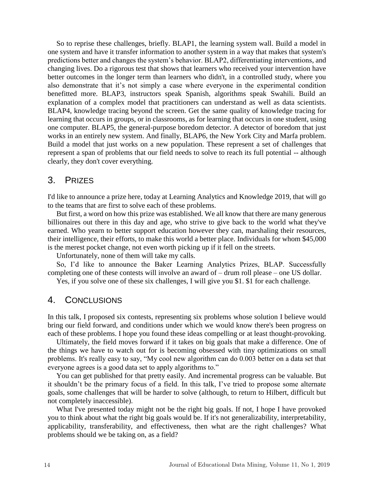So to reprise these challenges, briefly. BLAP1, the learning system wall. Build a model in one system and have it transfer information to another system in a way that makes that system's predictions better and changes the system's behavior. BLAP2, differentiating interventions, and changing lives. Do a rigorous test that shows that learners who received your intervention have better outcomes in the longer term than learners who didn't, in a controlled study, where you also demonstrate that it's not simply a case where everyone in the experimental condition benefitted more. BLAP3, instructors speak Spanish, algorithms speak Swahili. Build an explanation of a complex model that practitioners can understand as well as data scientists. BLAP4, knowledge tracing beyond the screen. Get the same quality of knowledge tracing for learning that occurs in groups, or in classrooms, as for learning that occurs in one student, using one computer. BLAP5, the general-purpose boredom detector. A detector of boredom that just works in an entirely new system. And finally, BLAP6, the New York City and Marfa problem. Build a model that just works on a new population. These represent a set of challenges that represent a span of problems that our field needs to solve to reach its full potential -- although clearly, they don't cover everything.

## 3. PRIZES

I'd like to announce a prize here, today at Learning Analytics and Knowledge 2019, that will go to the teams that are first to solve each of these problems.

But first, a word on how this prize was established. We all know that there are many generous billionaires out there in this day and age, who strive to give back to the world what they've earned. Who yearn to better support education however they can, marshaling their resources, their intelligence, their efforts, to make this world a better place. Individuals for whom \$45,000 is the merest pocket change, not even worth picking up if it fell on the streets.

Unfortunately, none of them will take my calls.

So, I'd like to announce the Baker Learning Analytics Prizes, BLAP. Successfully completing one of these contests will involve an award of – drum roll please – one US dollar.

Yes, if you solve one of these six challenges, I will give you \$1. \$1 for each challenge.

## 4. CONCLUSIONS

In this talk, I proposed six contests, representing six problems whose solution I believe would bring our field forward, and conditions under which we would know there's been progress on each of these problems. I hope you found these ideas compelling or at least thought-provoking.

Ultimately, the field moves forward if it takes on big goals that make a difference. One of the things we have to watch out for is becoming obsessed with tiny optimizations on small problems. It's really easy to say, "My cool new algorithm can do 0.003 better on a data set that everyone agrees is a good data set to apply algorithms to."

You can get published for that pretty easily. And incremental progress can be valuable. But it shouldn't be the primary focus of a field. In this talk, I've tried to propose some alternate goals, some challenges that will be harder to solve (although, to return to Hilbert, difficult but not completely inaccessible).

What I've presented today might not be the right big goals. If not, I hope I have provoked you to think about what the right big goals would be. If it's not generalizability, interpretability, applicability, transferability, and effectiveness, then what are the right challenges? What problems should we be taking on, as a field?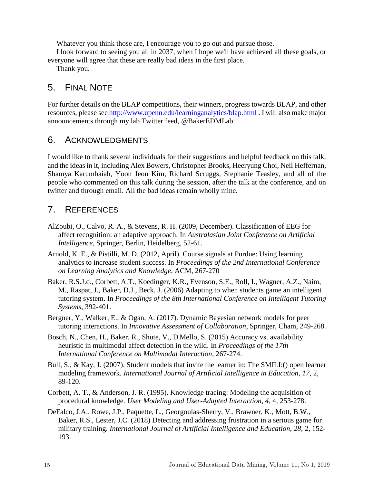Whatever you think those are, I encourage you to go out and pursue those.

I look forward to seeing you all in 2037, when I hope we'll have achieved all these goals, or everyone will agree that these are really bad ideas in the first place.

Thank you.

## 5. FINAL NOTE

For further details on the BLAP competitions, their winners, progress towards BLAP, and other resources, please see http://www.upenn.edu/learninganalytics/blap.html . I will also make major announcements through my lab Twitter feed, @BakerEDMLab.

## 6. ACKNOWLEDGMENTS

I would like to thank several individuals for their suggestions and helpful feedback on this talk, and the ideas in it, including Alex Bowers, Christopher Brooks, Heeryung Choi, Neil Heffernan, Shamya Karumbaiah, Yoon Jeon Kim, Richard Scruggs, Stephanie Teasley, and all of the people who commented on this talk during the session, after the talk at the conference, and on twitter and through email. All the bad ideas remain wholly mine.

## 7. REFERENCES

- AlZoubi, O., Calvo, R. A., & Stevens, R. H. (2009, December). Classification of EEG for affect recognition: an adaptive approach. In *Australasian Joint Conference on Artificial Intelligence*, Springer, Berlin, Heidelberg, 52-61.
- Arnold, K. E., & Pistilli, M. D. (2012, April). Course signals at Purdue: Using learning analytics to increase student success. In *Proceedings of the 2nd International Conference on Learning Analytics and Knowledge*, ACM, 267-270
- Baker, R.S.J.d., Corbett, A.T., Koedinger, K.R., Evenson, S.E., Roll, I., Wagner, A.Z., Naim, M., Raspat, J., Baker, D.J., Beck, J. (2006) Adapting to when students game an intelligent tutoring system. In *Proceedings of the 8th International Conference on Intelligent Tutoring Systems*, 392-401.
- Bergner, Y., Walker, E., & Ogan, A. (2017). Dynamic Bayesian network models for peer tutoring interactions. In *Innovative Assessment of Collaboration*, Springer, Cham, 249-268.
- Bosch, N., Chen, H., Baker, R., Shute, V., D'Mello, S. (2015) Accuracy vs. availability heuristic in multimodal affect detection in the wild. In *Proceedings of the 17th International Conference on Multimodal Interaction*, 267-274.
- Bull, S., & Kay, J. (2007). Student models that invite the learner in: The SMILI:() open learner modeling framework. *International Journal of Artificial Intelligence in Education*, *17*, 2, 89-120.
- Corbett, A. T., & Anderson, J. R. (1995). Knowledge tracing: Modeling the acquisition of procedural knowledge. *User Modeling and User-Adapted Interaction*, *4*, 4, 253-278.
- DeFalco, J.A., Rowe, J.P., Paquette, L., Georgoulas-Sherry, V., Brawner, K., Mott, B.W., Baker, R.S., Lester, J.C. (2018) Detecting and addressing frustration in a serious game for military training. *International Journal of Artificial Intelligence and Education, 28,* 2, 152- 193.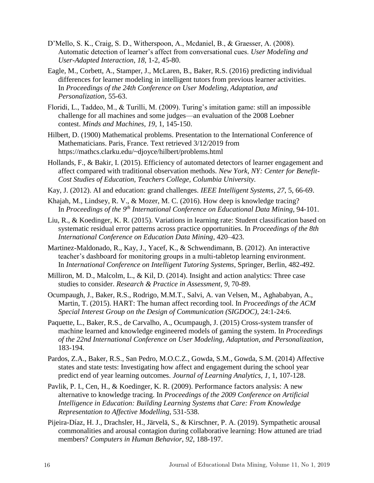- D'Mello, S. K., Craig, S. D., Witherspoon, A., Mcdaniel, B., & Graesser, A. (2008). Automatic detection of learner's affect from conversational cues. *User Modeling and User-Adapted Interaction*, *18*, 1-2, 45-80.
- Eagle, M., Corbett, A., Stamper, J., McLaren, B., Baker, R.S. (2016) predicting individual differences for learner modeling in intelligent tutors from previous learner activities. In *Proceedings of the 24th Conference on User Modeling, Adaptation, and Personalization,* 55-63.
- Floridi, L., Taddeo, M., & Turilli, M. (2009). Turing's imitation game: still an impossible challenge for all machines and some judges––an evaluation of the 2008 Loebner contest. *Minds and Machines*, *19*, 1, 145-150.
- Hilbert, D. (1900) Mathematical problems. Presentation to the International Conference of Mathematicians. Paris, France. Text retrieved 3/12/2019 from https://mathcs.clarku.edu/~djoyce/hilbert/problems.html
- Hollands, F., & Bakir, I. (2015). Efficiency of automated detectors of learner engagement and affect compared with traditional observation methods. *New York, NY: Center for Benefit-Cost Studies of Education, Teachers College, Columbia University.*
- Kay, J. (2012). AI and education: grand challenges. *IEEE Intelligent Systems*, *27*, 5, 66-69.
- Khajah, M., Lindsey, R. V., & Mozer, M. C. (2016). How deep is knowledge tracing? In *Proceedings of the 9 th International Conference on Educational Data Mining*, 94-101.
- Liu, R., & Koedinger, K. R. (2015). Variations in learning rate: Student classification based on systematic residual error patterns across practice opportunities. In *Proceedings of the 8th International Conference on Education Data Mining,* 420–423.
- Martinez-Maldonado, R., Kay, J., Yacef, K., & Schwendimann, B. (2012). An interactive teacher's dashboard for monitoring groups in a multi-tabletop learning environment. In *International Conference on Intelligent Tutoring Systems*, Springer, Berlin, 482-492.
- Milliron, M. D., Malcolm, L., & Kil, D. (2014). Insight and action analytics: Three case studies to consider. *Research & Practice in Assessment*, *9*, 70-89.
- Ocumpaugh, J., Baker, R.S., Rodrigo, M.M.T., Salvi, A. van Velsen, M., Aghababyan, A., Martin, T. (2015). HART: The human affect recording tool. In *Proceedings of the ACM Special Interest Group on the Design of Communication (SIGDOC),* 24:1-24:6.
- Paquette, L., Baker, R.S., de Carvalho, A., Ocumpaugh, J. (2015) Cross-system transfer of machine learned and knowledge engineered models of gaming the system. In *Proceedings of the 22nd International Conference on User Modeling, Adaptation, and Personalization*, 183-194.
- Pardos, Z.A., Baker, R.S., San Pedro, M.O.C.Z., Gowda, S.M., Gowda, S.M. (2014) Affective states and state tests: Investigating how affect and engagement during the school year predict end of year learning outcomes. *Journal of Learning Analytics, 1*, 1, 107-128.
- Pavlik, P. I., Cen, H., & Koedinger, K. R. (2009). Performance factors analysis: A new alternative to knowledge tracing. In *Proceedings of the 2009 Conference on Artificial Intelligence in Education: Building Learning Systems that Care: From Knowledge Representation to Affective Modelling*, 531-538.
- Pijeira-Díaz, H. J., Drachsler, H., Järvelä, S., & Kirschner, P. A. (2019). Sympathetic arousal commonalities and arousal contagion during collaborative learning: How attuned are triad members? *Computers in Human Behavior*, *92*, 188-197.